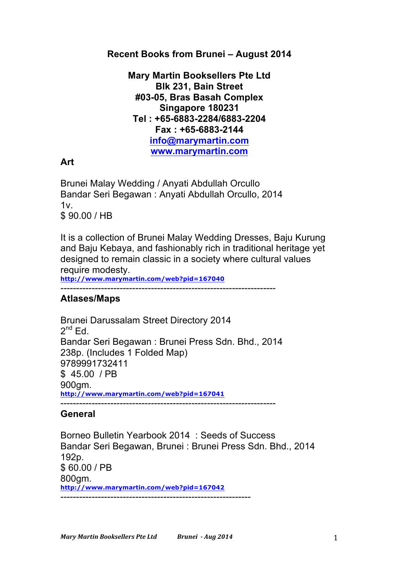## **Recent Books from Brunei – August 2014**

**Mary Martin Booksellers Pte Ltd Blk 231, Bain Street #03-05, Bras Basah Complex Singapore 180231 Tel : +65-6883-2284/6883-2204 Fax : +65-6883-2144 info@marymartin.com www.marymartin.com**

## **Art**

Brunei Malay Wedding / Anyati Abdullah Orcullo Bandar Seri Begawan : Anyati Abdullah Orcullo, 2014  $1v<sub>1</sub>$ \$ 90.00 / HB

It is a collection of Brunei Malay Wedding Dresses, Baju Kurung and Baju Kebaya, and fashionably rich in traditional heritage yet designed to remain classic in a society where cultural values require modesty.

**http://www.marymartin.com/web?pid=167040**

---------------------------------------------------------------------

## **Atlases/Maps**

Brunei Darussalam Street Directory 2014  $2^{nd}$  Ed. Bandar Seri Begawan : Brunei Press Sdn. Bhd., 2014 238p. (Includes 1 Folded Map) 9789991732411 \$ 45.00 / PB 900gm. **http://www.marymartin.com/web?pid=167041** ---------------------------------------------------------------------

#### **General**

Borneo Bulletin Yearbook 2014 : Seeds of Success Bandar Seri Begawan, Brunei : Brunei Press Sdn. Bhd., 2014 192p. \$ 60.00 / PB 800gm. **http://www.marymartin.com/web?pid=167042** -------------------------------------------------------------